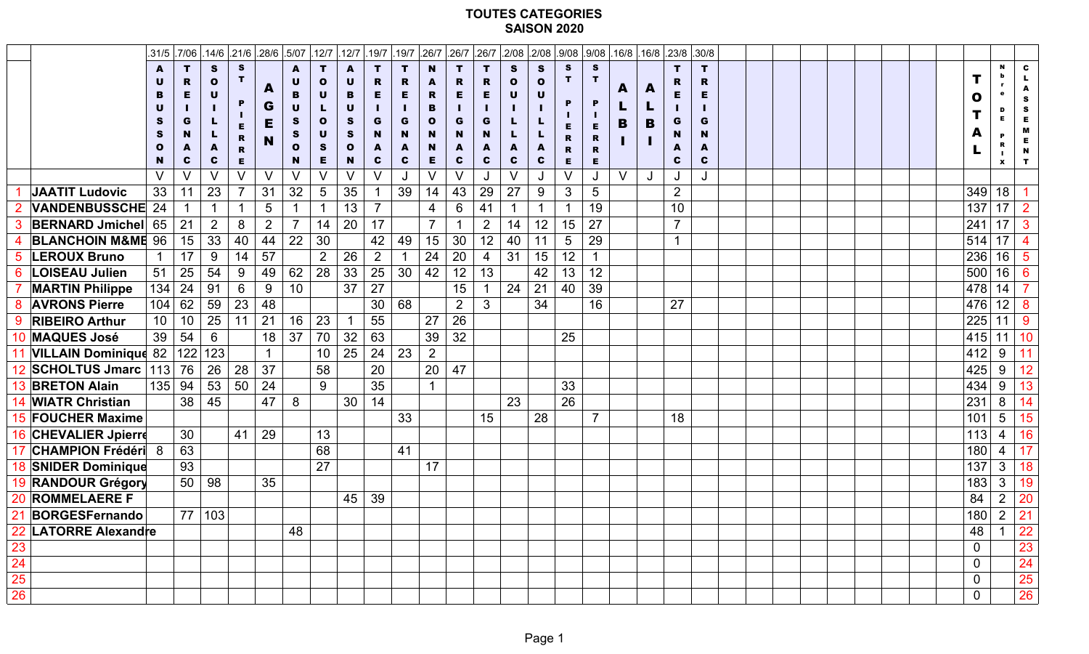## **TOUTES CATEGORIES SAISON 2020**

|                              | .31/5    | .7/06           |                |         |                | .14/6 .21/6 .28/6 .5/07 | .12/7             | .12/7            | .19/7          | .19/7        | .26/7          |                 | $.26/7$ .26/7  |             |              |        |                |        | .2/08 .2/08 .9/08 .9/08 .16/8 .16/8 .23/8 .30/8 |                |             |  |  |                |                 |                 |
|------------------------------|----------|-----------------|----------------|---------|----------------|-------------------------|-------------------|------------------|----------------|--------------|----------------|-----------------|----------------|-------------|--------------|--------|----------------|--------|-------------------------------------------------|----------------|-------------|--|--|----------------|-----------------|-----------------|
|                              | A        | T.              | S.             | S.      |                | A                       | T.                | A                | T.             | T.           | <b>N</b>       | т               | т              | S.          | <b>S</b>     | S      | S              |        |                                                 | т              | T           |  |  |                | N               | $\mathbf c$     |
|                              |          | R.              | $\mathbf 0$    |         | A              | U                       | $\mathbf{O}$      | $\mathbf U$      | R.             | R.           |                | R.              | R.             | $\mathbf 0$ | $\mathbf{o}$ |        |                | A      | A                                               | R              | R           |  |  |                |                 |                 |
|                              |          | E               | $\mathbf U$    |         | G              | B<br>U                  | $\mathbf U$<br>L. | B<br>$\mathbf U$ | E.             | E.           | R<br>в         | E.              | Е              | $\mathbf U$ | $\mathbf U$  | P      | P              |        |                                                 | Е              | Е           |  |  | $\mathbf 0$    |                 | S               |
|                              |          | G               |                |         | Е              | S.                      | $\bullet$         | S.               | G              | G            | $\mathbf{o}$   | G               | G              |             |              |        |                | B      | B                                               | G              | G           |  |  |                |                 | S<br>E          |
|                              |          | N               |                | R.      |                | S                       | $\mathbf U$       | S.               | N.             | N            | <b>N</b>       | N               | N.             |             |              | R      | Е<br>R         |        |                                                 | N              | N           |  |  |                |                 | M<br>E.         |
|                              |          | A               | A              | R       | N              | $\mathbf{o}$            | <b>S</b>          | $\mathbf{o}$     | A              | A            | N              |                 | A              | A           | A            | R      | $\mathbf R$    |        |                                                 | A              |             |  |  |                |                 | N               |
|                              | N.<br>V. | C               | $\mathbf{c}$   | E.<br>V |                | N.                      | E.                | N                | C              | $\mathbf{c}$ | E.             | C               | $\mathbf{c}$   | C           | C            | E      | E              |        |                                                 | C              | $\mathbf c$ |  |  |                | X               | $\mathbf{T}$    |
| <b>JAATIT Ludovic</b>        | 33       | V<br>11         | V<br>23        |         | V<br>31        | V<br>32                 | V<br>5            | V<br>35          | V              | J<br>39      | V<br>14        | 43              | J<br>29        | V<br>27     | J<br>9       | V<br>3 | J<br>5         | $\vee$ |                                                 | 2              |             |  |  | 349            | 18              |                 |
| <b>VANDENBUSSCHE 24</b>      |          |                 | $\mathbf 1$    |         | 5              |                         |                   | 13               |                |              | 4              | 6               | 41             |             | -1           |        | 19             |        |                                                 | 10             |             |  |  | 137            | 17              | 2 <sup>1</sup>  |
| <b>BERNARD Jmichel</b>       | 65       | 21              | 2 <sup>1</sup> | 8       | 2 <sup>1</sup> | $\overline{7}$          | 14                | 20               | 17             |              |                |                 | $\overline{2}$ | 14          | 12           | 15     | 27             |        |                                                 | $\overline{7}$ |             |  |  | 241            | 17              | 3               |
| <b>BLANCHOIN M&amp;ME 96</b> |          | 15              | 33             | 40      | 44             | 22                      | 30                |                  | 42             | 49           | 15             | 30              | 12             | 40          | 11           | 5      | 29             |        |                                                 |                |             |  |  | 514            | 17              |                 |
| <b>LEROUX Bruno</b>          |          | 17              | 9              | 14      | 57             |                         | 2 <sup>1</sup>    | 26               | 2 <sup>1</sup> |              | 24             | 20              | 4              | 31          | 15           | 12     |                |        |                                                 |                |             |  |  | 236            | 16              | 5               |
| <b>6 LOISEAU Julien</b>      | 51       | 25              | 54             | 9       | 49             | 62                      | 28                | 33               | 25             | 30           | 42             | 12 <sup>2</sup> | 13             |             | 42           | 13     | 12             |        |                                                 |                |             |  |  | 500            | 16              | 6 <sup>°</sup>  |
| <b>MARTIN Philippe</b>       | 134      | 24              | 91             | 6       | 9              | 10                      |                   | 37               | 27             |              |                | 15              |                | 24          | 21           | 40     | 39             |        |                                                 |                |             |  |  | 478            | 14              |                 |
| <b>AVRONS Pierre</b>         |          | 104   62        | 59             | 23      | 48             |                         |                   |                  | 30             | 68           |                | 2 <sup>1</sup>  | $\mathbf{3}$   |             | 34           |        | 16             |        |                                                 | 27             |             |  |  | 476            | 12              | 8               |
| <b>RIBEIRO Arthur</b>        | 10       | 10 <sup>°</sup> | 25             | 11      | 21             | 16                      | 23                |                  | 55             |              | 27             | 26              |                |             |              |        |                |        |                                                 |                |             |  |  | 225            |                 | 9               |
| 10 MAQUES José               | 39       | 54              | 6              |         | 18             | 37                      | 70                | 32               | 63             |              | 39             | 32              |                |             |              | 25     |                |        |                                                 |                |             |  |  | 415            | 11              | 10              |
| <b>VILLAIN Dominique 82</b>  |          | 122             | 123            |         |                |                         | 10                | 25               | 24             | 23           | 2 <sub>2</sub> |                 |                |             |              |        |                |        |                                                 |                |             |  |  | 412            | 9               | 11              |
| 2 SCHOLTUS Jmarc   113   76  |          |                 | 26             | 28      | 37             |                         | 58                |                  | 20             |              | 20             | 47              |                |             |              |        |                |        |                                                 |                |             |  |  | 425            | 9               | 12              |
| <b>BRETON Alain</b>          |          | 135 94          | 53             | $50$    | 24             |                         | 9                 |                  | 35             |              |                |                 |                |             |              | 33     |                |        |                                                 |                |             |  |  |                | $434$ 9         | 13              |
| 14 WIATR Christian           |          | 38              | 45             |         | 47             | 8                       |                   | 30               | 14             |              |                |                 |                | 23          |              | 26     |                |        |                                                 |                |             |  |  | 231            | $8\overline{8}$ | 14              |
| 15  FOUCHER Maxime           |          |                 |                |         |                |                         |                   |                  |                | 33           |                |                 | 15             |             | 28           |        | $\overline{7}$ |        |                                                 | 18             |             |  |  | 101            | $5\overline{)}$ | 15              |
| <b>16 CHEVALIER Jpierre</b>  |          | 30              |                | 41      | 29             |                         | 13                |                  |                |              |                |                 |                |             |              |        |                |        |                                                 |                |             |  |  | 113            | $\overline{4}$  | 16              |
| <b>CHAMPION Frédéri</b> 8    |          | 63              |                |         |                |                         | 68                |                  |                | 41           |                |                 |                |             |              |        |                |        |                                                 |                |             |  |  | 180            | $\overline{4}$  | 17 <sup>1</sup> |
| <b>18 SNIDER Dominique</b>   |          | 93              |                |         |                |                         | 27                |                  |                |              | 17             |                 |                |             |              |        |                |        |                                                 |                |             |  |  | 137            | $\mathbf{3}$    | 18              |
| <b>19 RANDOUR Grégory</b>    |          | 50              | 98             |         | 35             |                         |                   |                  |                |              |                |                 |                |             |              |        |                |        |                                                 |                |             |  |  | 183            | $3\overline{3}$ | 19              |
| 20 ROMMELAERE F              |          |                 |                |         |                |                         |                   | 45               | 39             |              |                |                 |                |             |              |        |                |        |                                                 |                |             |  |  | 84             | $\overline{2}$  | 20              |
| <b>BORGESFernando</b>        |          | 77              | 103            |         |                |                         |                   |                  |                |              |                |                 |                |             |              |        |                |        |                                                 |                |             |  |  | 180            | $\overline{2}$  | 21              |
| 22 LATORRE Alexandre         |          |                 |                |         |                | 48                      |                   |                  |                |              |                |                 |                |             |              |        |                |        |                                                 |                |             |  |  | 48             |                 | 22              |
| 23                           |          |                 |                |         |                |                         |                   |                  |                |              |                |                 |                |             |              |        |                |        |                                                 |                |             |  |  | $\overline{0}$ |                 | 23              |
| 24                           |          |                 |                |         |                |                         |                   |                  |                |              |                |                 |                |             |              |        |                |        |                                                 |                |             |  |  | $\overline{0}$ |                 | 24              |
| 25                           |          |                 |                |         |                |                         |                   |                  |                |              |                |                 |                |             |              |        |                |        |                                                 |                |             |  |  | $\overline{0}$ |                 | 25              |
| 26                           |          |                 |                |         |                |                         |                   |                  |                |              |                |                 |                |             |              |        |                |        |                                                 |                |             |  |  | $\overline{0}$ |                 | 26              |